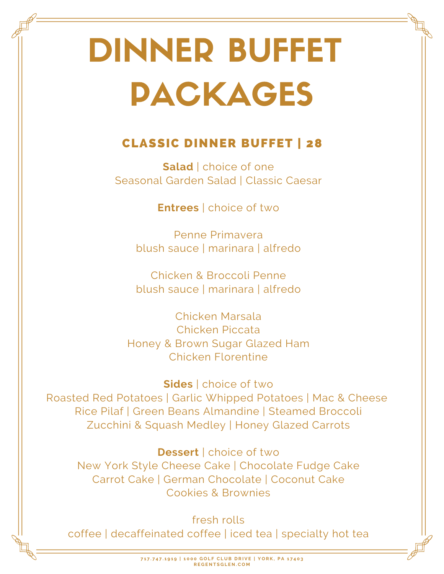# DINNER BUFFET PACKAGES

## CLASSIC DINNER BUFFET | 28

**Salad** | choice of one Seasonal Garden Salad | Classic Caesar

**Entrees** | choice of two

Penne Primavera blush sauce | marinara | alfredo

Chicken & Broccoli Penne blush sauce | marinara | alfredo

Chicken Marsala Chicken Piccata Honey & Brown Sugar Glazed Ham Chicken Florentine

**Sides** | choice of two Roasted Red Potatoes | Garlic Whipped Potatoes | Mac & Cheese Rice Pilaf | Green Beans Almandine | Steamed Broccoli Zucchini & Squash Medley | Honey Glazed Carrots

**Dessert** | choice of two New York Style Cheese Cake | Chocolate Fudge Cake Carrot Cake | German Chocolate | Coconut Cake Cookies & Brownies

fresh rolls coffee | decaffeinated coffee | iced tea | specialty hot tea

> 717.747.1919 | 1000 GOLF CLUB DRIVE | YORK, PA 17403 **R E G E N T S G L E N . C O M**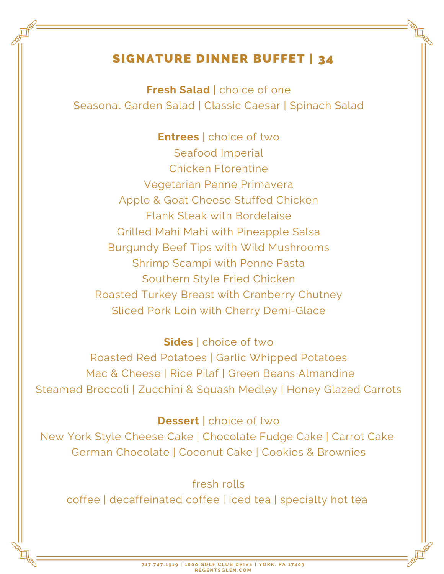## SIGNATURE DINNER BUFFET | 34

**Fresh Salad** | choice of one Seasonal Garden Salad | Classic Caesar | Spinach Salad

**Entrees** | choice of two Seafood Imperial Chicken Florentine Vegetarian Penne Primavera Apple & Goat Cheese Stuffed Chicken Flank Steak with Bordelaise Grilled Mahi Mahi with Pineapple Salsa Burgundy Beef Tips with Wild Mushrooms Shrimp Scampi with Penne Pasta Southern Style Fried Chicken Roasted Turkey Breast with Cranberry Chutney Sliced Pork Loin with Cherry Demi-Glace

**Sides** | choice of two Roasted Red Potatoes | Garlic Whipped Potatoes Mac & Cheese | Rice Pilaf | Green Beans Almandine Steamed Broccoli | Zucchini & Squash Medley | Honey Glazed Carrots

#### **Dessert** | choice of two

New York Style Cheese Cake | Chocolate Fudge Cake | Carrot Cake German Chocolate | Coconut Cake | Cookies & Brownies

fresh rolls

coffee | decaffeinated coffee | iced tea | specialty hot tea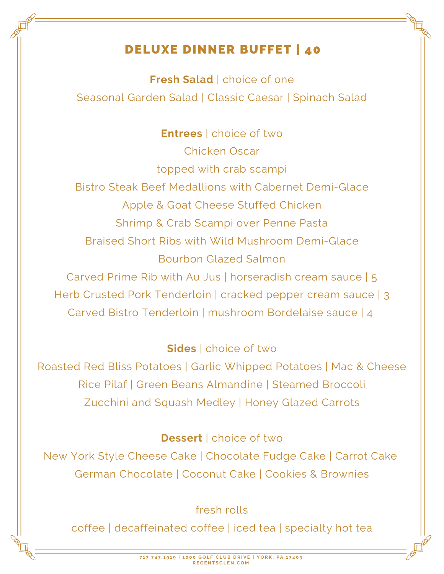## DELUXE DINNER BUFFET | 40

**Fresh Salad** | choice of one Seasonal Garden Salad | Classic Caesar | Spinach Salad

**Entrees** | choice of two Chicken Oscar topped with crab scampi Bistro Steak Beef Medallions with Cabernet Demi-Glace Apple & Goat Cheese Stuffed Chicken Shrimp & Crab Scampi over Penne Pasta Braised Short Ribs with Wild Mushroom Demi-Glace Bourbon Glazed Salmon

Carved Prime Rib with Au Jus | horseradish cream sauce | 5 Herb Crusted Pork Tenderloin | cracked pepper cream sauce | 3 Carved Bistro Tenderloin | mushroom Bordelaise sauce | 4

## **Sides** | choice of two

Roasted Red Bliss Potatoes | Garlic Whipped Potatoes | Mac & Cheese Rice Pilaf | Green Beans Almandine | Steamed Broccoli Zucchini and Squash Medley | Honey Glazed Carrots

## **Dessert** | choice of two

New York Style Cheese Cake | Chocolate Fudge Cake | Carrot Cake German Chocolate | Coconut Cake | Cookies & Brownies

## fresh rolls

coffee | decaffeinated coffee | iced tea | specialty hot tea

717.747.1919 | 1000 GOLF CLUB DRIVE | YORK, PA 17403 **R E G E N T S G L E N . C O M**